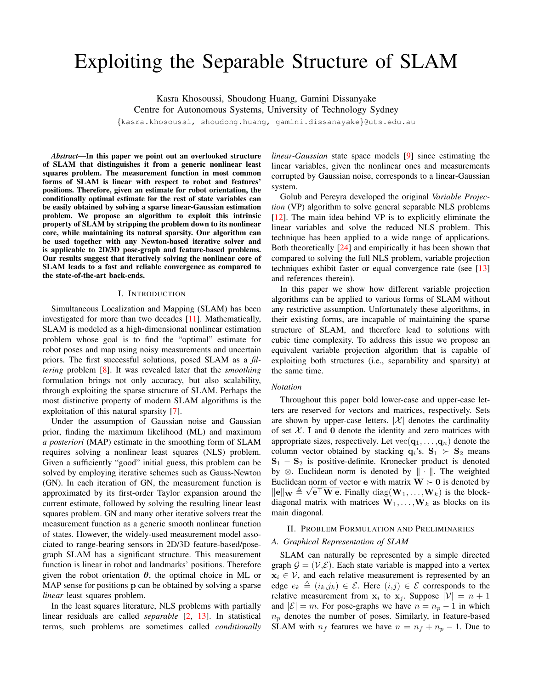# Exploiting the Separable Structure of SLAM

Kasra Khosoussi, Shoudong Huang, Gamini Dissanyake Centre for Autonomous Systems, University of Technology Sydney

{kasra.khosoussi, shoudong.huang, gamini.dissanayake}@uts.edu.au

*Abstract*—In this paper we point out an overlooked structure of SLAM that distinguishes it from a generic nonlinear least squares problem. The measurement function in most common forms of SLAM is linear with respect to robot and features' positions. Therefore, given an estimate for robot orientation, the conditionally optimal estimate for the rest of state variables can be easily obtained by solving a sparse linear-Gaussian estimation problem. We propose an algorithm to exploit this intrinsic property of SLAM by stripping the problem down to its nonlinear core, while maintaining its natural sparsity. Our algorithm can be used together with any Newton-based iterative solver and is applicable to 2D/3D pose-graph and feature-based problems. Our results suggest that iteratively solving the nonlinear core of SLAM leads to a fast and reliable convergence as compared to the state-of-the-art back-ends.

### I. INTRODUCTION

Simultaneous Localization and Mapping (SLAM) has been investigated for more than two decades [\[11\]](#page-8-0). Mathematically, SLAM is modeled as a high-dimensional nonlinear estimation problem whose goal is to find the "optimal" estimate for robot poses and map using noisy measurements and uncertain priors. The first successful solutions, posed SLAM as a *filtering* problem [\[8\]](#page-8-1). It was revealed later that the *smoothing* formulation brings not only accuracy, but also scalability, through exploiting the sparse structure of SLAM. Perhaps the most distinctive property of modern SLAM algorithms is the exploitation of this natural sparsity [\[7\]](#page-8-2).

Under the assumption of Gaussian noise and Gaussian prior, finding the maximum likelihood (ML) and maximum *a posteriori* (MAP) estimate in the smoothing form of SLAM requires solving a nonlinear least squares (NLS) problem. Given a sufficiently "good" initial guess, this problem can be solved by employing iterative schemes such as Gauss-Newton (GN). In each iteration of GN, the measurement function is approximated by its first-order Taylor expansion around the current estimate, followed by solving the resulting linear least squares problem. GN and many other iterative solvers treat the measurement function as a generic smooth nonlinear function of states. However, the widely-used measurement model associated to range-bearing sensors in 2D/3D feature-based/posegraph SLAM has a significant structure. This measurement function is linear in robot and landmarks' positions. Therefore given the robot orientation  $\theta$ , the optimal choice in ML or MAP sense for positions **p** can be obtained by solving a sparse *linear* least squares problem.

In the least squares literature, NLS problems with partially linear residuals are called *separable* [\[2,](#page-8-3) [13\]](#page-8-4). In statistical terms, such problems are sometimes called *conditionally* *linear-Gaussian* state space models [\[9\]](#page-8-5) since estimating the linear variables, given the nonlinear ones and measurements corrupted by Gaussian noise, corresponds to a linear-Gaussian system.

Golub and Pereyra developed the original *Variable Projection* (VP) algorithm to solve general separable NLS problems [\[12\]](#page-8-6). The main idea behind VP is to explicitly eliminate the linear variables and solve the reduced NLS problem. This technique has been applied to a wide range of applications. Both theoretically  $[24]$  and empirically it has been shown that compared to solving the full NLS problem, variable projection techniques exhibit faster or equal convergence rate (see [\[13\]](#page-8-4) and references therein).

In this paper we show how different variable projection algorithms can be applied to various forms of SLAM without any restrictive assumption. Unfortunately these algorithms, in their existing forms, are incapable of maintaining the sparse structure of SLAM, and therefore lead to solutions with cubic time complexity. To address this issue we propose an equivalent variable projection algorithm that is capable of exploiting both structures (i.e., separability and sparsity) at the same time.

# *Notation*

Throughout this paper bold lower-case and upper-case letters are reserved for vectors and matrices, respectively. Sets are shown by upper-case letters.  $|\mathcal{X}|$  denotes the cardinality of set  $X$ . I and 0 denote the identity and zero matrices with appropriate sizes, respectively. Let  $vec(\mathbf{q}_1, \dots, \mathbf{q}_n)$  denote the column vector obtained by stacking  $q_i$ 's.  $S_1 \succ S_2$  means  $S_1 - S_2$  is positive-definite. Kronecker product is denoted by  $\otimes$ . Euclidean norm is denoted by  $\|\cdot\|$ . The weighted Euclidean norm of vector e with matrix  $W \succ 0$  is denoted by  $\|\mathbf{e}\|_{\mathbf{W}} \triangleq \sqrt{\mathbf{e}^{\top}\mathbf{W}\mathbf{e}}$ . Finally  $\text{diag}(\mathbf{W}_1, \dots, \mathbf{W}_k)$  is the blockdiagonal matrix with matrices  $W_1, \ldots, W_k$  as blocks on its main diagonal.

# <span id="page-0-0"></span>II. PROBLEM FORMULATION AND PRELIMINARIES

# *A. Graphical Representation of SLAM*

SLAM can naturally be represented by a simple directed graph  $\mathcal{G} = (\mathcal{V}, \mathcal{E})$ . Each state variable is mapped into a vertex  $x_i \in V$ , and each relative measurement is represented by an edge  $e_k \triangleq (i_k,j_k) \in \mathcal{E}$ . Here  $(i,j) \in \mathcal{E}$  corresponds to the relative measurement from  $x_i$  to  $x_j$ . Suppose  $|\mathcal{V}| = n + 1$ and  $|\mathcal{E}| = m$ . For pose-graphs we have  $n = n_p - 1$  in which  $n_p$  denotes the number of poses. Similarly, in feature-based SLAM with  $n_f$  features we have  $n = n_f + n_p - 1$ . Due to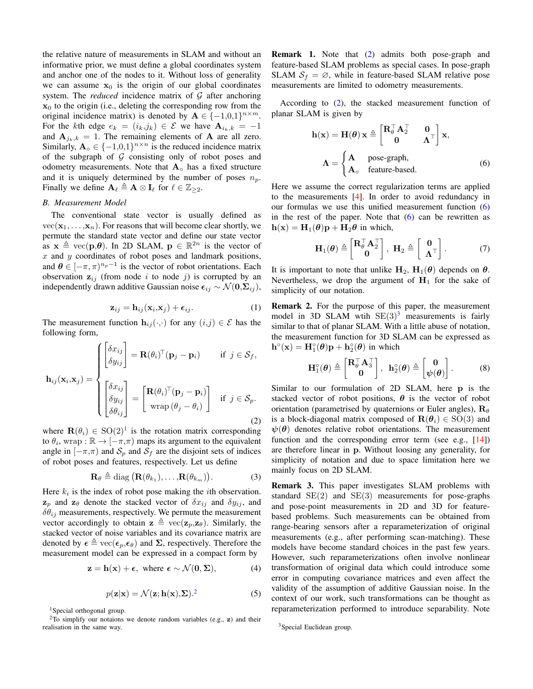the relative nature of measurements in SLAM and without an informative prior, we must define a global coordinates system and anchor one of the nodes to it. Without loss of generality we can assume  $x_0$  is the origin of our global coordinates system. The *reduced* incidence matrix of  $G$  after anchoring  $x_0$  to the origin (i.e., deleting the corresponding row from the original incidence matrix) is denoted by  $\mathbf{A} \in \{-1,0,1\}^{n \times m}$ . For the kth edge  $e_k = (i_k, j_k) \in \mathcal{E}$  we have  $\mathbf{A}_{i_k, k} = -1$ and  $A_{i_k,k} = 1$ . The remaining elements of A are all zero. Similarly,  $\mathbf{A}_{\circ} \in \{-1,0,1\}^{n \times n}$  is the reduced incidence matrix of the subgraph of  $G$  consisting only of robot poses and odometry measurements. Note that  $A<sub>o</sub>$  has a fixed structure and it is uniquely determined by the number of poses  $n_p$ . Finally we define  $\mathbf{A}_{\ell} \triangleq \mathbf{A} \otimes \mathbf{I}_{\ell}$  for  $\ell \in \mathbb{Z}_{\geq 2}$ .

# *B. Measurement Model*

The conventional state vector is usually defined as  $vec(\mathbf{x}_1, \dots, \mathbf{x}_n)$ . For reasons that will become clear shortly, we permute the standard state vector and define our state vector as  $x \triangleq vec(p,\theta)$ . In 2D SLAM,  $p \in \mathbb{R}^{2n}$  is the vector of  $x$  and  $y$  coordinates of robot poses and landmark positions, and  $\theta \in [-\pi, \pi)^{n_p-1}$  is the vector of robot orientations. Each observation  $z_{ij}$  (from node i to node j) is corrupted by an independently drawn additive Gaussian noise  $\epsilon_{ij} \sim \mathcal{N} (\mathbf{0}, \mathbf{\Sigma}_{ij}),$ 

<span id="page-1-2"></span>
$$
\mathbf{z}_{ij} = \mathbf{h}_{ij}(\mathbf{x}_i, \mathbf{x}_j) + \boldsymbol{\epsilon}_{ij}.
$$
 (1)

The measurement function  $\mathbf{h}_{ij}(\cdot,\cdot)$  for any  $(i,j) \in \mathcal{E}$  has the following form,

$$
\mathbf{h}_{ij}(\mathbf{x}_i, \mathbf{x}_j) = \begin{cases} \begin{bmatrix} \delta x_{ij} \\ \delta y_{ij} \end{bmatrix} = \mathbf{R}(\theta_i)^{\top} (\mathbf{p}_j - \mathbf{p}_i) & \text{if } j \in \mathcal{S}_f, \\ \begin{bmatrix} \delta x_{ij} \\ \delta y_{ij} \\ \delta \theta_{ij} \end{bmatrix} = \begin{bmatrix} \mathbf{R}(\theta_i)^{\top} (\mathbf{p}_j - \mathbf{p}_i) \\ \text{wrap } (\theta_j - \theta_i) \end{bmatrix} & \text{if } j \in \mathcal{S}_p. \end{cases}
$$
(2)

where  $\mathbf{R}(\theta_i) \in SO(2)^1$  $\mathbf{R}(\theta_i) \in SO(2)^1$  is the rotation matrix corresponding to  $\theta_i$ , wrap :  $\mathbb{R} \to [-\pi,\pi)$  maps its argument to the equivalent angle in  $[-\pi,\pi)$  and  $S_p$  and  $S_f$  are the disjoint sets of indices of robot poses and features, respectively. Let us define

$$
\mathbf{R}_{\theta} \triangleq \text{diag}\left(\mathbf{R}(\theta_{k_1}), \dots, \mathbf{R}(\theta_{k_m})\right). \tag{3}
$$

Here  $k_i$  is the index of robot pose making the *i*th observation.  $z_p$  and  $z_\theta$  denote the stacked vector of  $\delta x_{ij}$  and  $\delta y_{ij}$ , and  $\delta \hat{\theta}_{ij}$  measurements, respectively. We permute the measurement vector accordingly to obtain  $\mathbf{z} \triangleq \text{vec}(\mathbf{z}_n, \mathbf{z}_\theta)$ . Similarly, the stacked vector of noise variables and its covariance matrix are denoted by  $\epsilon \triangleq \text{vec}(\epsilon_p, \epsilon_\theta)$  and  $\Sigma$ , respectively. Therefore the measurement model can be expressed in a compact form by

$$
\mathbf{z} = \mathbf{h}(\mathbf{x}) + \boldsymbol{\epsilon}, \text{ where } \boldsymbol{\epsilon} \sim \mathcal{N}(\mathbf{0}, \boldsymbol{\Sigma}), \tag{4}
$$

$$
p(\mathbf{z}|\mathbf{x}) = \mathcal{N}(\mathbf{z}; \mathbf{h}(\mathbf{x}), \Sigma)^2
$$
 (5)

Remark 1. Note that [\(2\)](#page-1-2) admits both pose-graph and feature-based SLAM problems as special cases. In pose-graph SLAM  $S_f = \emptyset$ , while in feature-based SLAM relative pose measurements are limited to odometry measurements.

According to [\(2\)](#page-1-2), the stacked measurement function of planar SLAM is given by

<span id="page-1-3"></span>
$$
\mathbf{h}(\mathbf{x}) = \mathbf{H}(\boldsymbol{\theta}) \mathbf{x} \triangleq \begin{bmatrix} \mathbf{R}_{\boldsymbol{\theta}}^{\top} \mathbf{A}_{2}^{\top} & \mathbf{0} \\ \mathbf{0} & \mathbf{\Lambda}^{\top} \end{bmatrix} \mathbf{x},
$$

$$
\mathbf{\Lambda} = \begin{cases} \mathbf{A} & \text{pose-graph,} \\ \mathbf{A}_{\circ} & \text{feature-based.} \end{cases}
$$
(6)

Here we assume the correct regularization terms are applied to the measurements [\[4\]](#page-8-8). In order to avoid redundancy in our formulas we use this unified measurement function [\(6\)](#page-1-3) in the rest of the paper. Note that  $(6)$  can be rewritten as  $h(\mathbf{x}) = \mathbf{H}_1(\boldsymbol{\theta})\mathbf{p} + \mathbf{H}_2\boldsymbol{\theta}$  in which,

<span id="page-1-5"></span>
$$
\mathbf{H}_1(\boldsymbol{\theta}) \triangleq \begin{bmatrix} \mathbf{R}_{\boldsymbol{\theta}}^{\top} \mathbf{A}_2^{\top} \\ \mathbf{0} \end{bmatrix}, \ \mathbf{H}_2 \triangleq \begin{bmatrix} \mathbf{0} \\ \mathbf{\Lambda}^{\top} \end{bmatrix}. \tag{7}
$$

It is important to note that unlike  $H_2$ ,  $H_1(\theta)$  depends on  $\theta$ . Nevertheless, we drop the argument of  $H_1$  for the sake of simplicity of our notation.

Remark 2. For the purpose of this paper, the measurement model in [3](#page-1-4)D SLAM wtih  $SE(3)^3$  measurements is fairly similar to that of planar SLAM. With a little abuse of notation, the measurement function for 3D SLAM can be expressed as  $\mathbf{h}^{\circ}(\mathbf{x}) = \mathbf{H}_{1}^{\circ}(\boldsymbol{\theta})\mathbf{p} + \mathbf{h}_{2}^{\circ}(\boldsymbol{\theta})$  in which

$$
\mathbf{H}_{1}^{\circ}(\boldsymbol{\theta}) \triangleq \begin{bmatrix} \mathbf{R}_{\theta}^{\top} \mathbf{A}_{3}^{\top} \\ \mathbf{0} \end{bmatrix}, \ \mathbf{h}_{2}^{\circ}(\boldsymbol{\theta}) \triangleq \begin{bmatrix} \mathbf{0} \\ \boldsymbol{\psi}(\boldsymbol{\theta}) \end{bmatrix}. \tag{8}
$$

Similar to our formulation of 2D SLAM, here p is the stacked vector of robot positions,  $\theta$  is the vector of robot orientation (parametrised by quaternions or Euler angles),  $\mathbf{R}_{\theta}$ is a block-diagonal matrix composed of  $\mathbf{R}(\theta_i) \in \text{SO}(3)$  and  $\psi(\theta)$  denotes relative robot orientations. The measurement function and the corresponding error term (see e.g., [\[14\]](#page-8-9)) are therefore linear in p. Without loosing any generality, for simplicity of notation and due to space limitation here we mainly focus on 2D SLAM.

Remark 3. This paper investigates SLAM problems with standard  $SE(2)$  and  $SE(3)$  measurements for pose-graphs and pose-point measurements in 2D and 3D for featurebased problems. Such measurements can be obtained from range-bearing sensors after a reparameterization of original measurements (e.g., after performing scan-matching). These models have become standard choices in the past few years. However, such reparameterizations often involve nonlinear transformation of original data which could introduce some error in computing covariance matrices and even affect the validity of the assumption of additive Gaussian noise. In the context of our work, such transformations can be thought as reparameterization performed to introduce separability. Note

<span id="page-1-1"></span><span id="page-1-0"></span><sup>&</sup>lt;sup>1</sup>Special orthogonal group.

 $2\overline{10}$  simplify our notaions we denote random variables (e.g., z) and their realisation in the same way.

<span id="page-1-4"></span><sup>&</sup>lt;sup>3</sup>Special Euclidean group.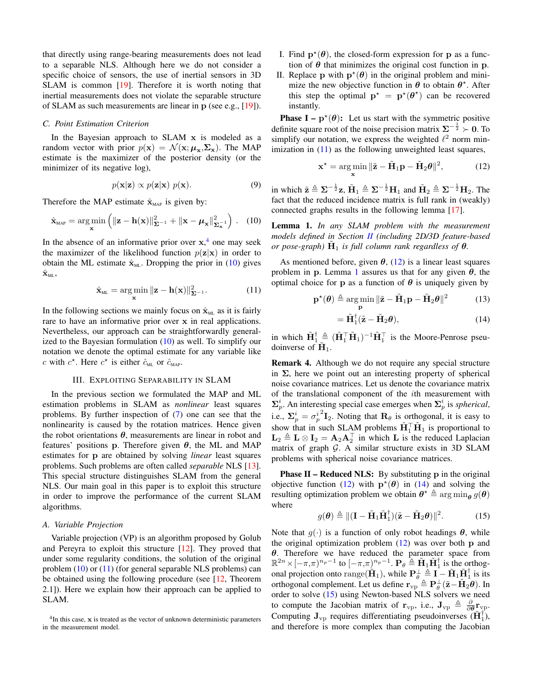that directly using range-bearing measurements does not lead to a separable NLS. Although here we do not consider a specific choice of sensors, the use of inertial sensors in 3D SLAM is common [\[19\]](#page-8-10). Therefore it is worth noting that inertial measurements does not violate the separable structure of SLAM as such measurements are linear in p (see e.g., [\[19\]](#page-8-10)).

# *C. Point Estimation Criterion*

In the Bayesian approach to  $SLAM$  x is modeled as a random vector with prior  $p(x) = \mathcal{N}(x; \mu_x, \Sigma_x)$ . The MAP estimate is the maximizer of the posterior density (or the minimizer of its negative log),

$$
p(\mathbf{x}|\mathbf{z}) \propto p(\mathbf{z}|\mathbf{x}) \ p(\mathbf{x}). \tag{9}
$$

Therefore the MAP estimate  $\hat{\mathbf{x}}_{MAP}$  is given by:

$$
\hat{\mathbf{x}}_{\text{MAP}} = \argmin_{\mathbf{x}} \left( \|\mathbf{z} - \mathbf{h}(\mathbf{x})\|_{\mathbf{\Sigma}^{-1}}^2 + \|\mathbf{x} - \boldsymbol{\mu}_{\mathbf{x}}\|_{\mathbf{\Sigma}_{\mathbf{x}}^{-1}}^2 \right). \quad (10)
$$

In the absence of an informative prior over  $x<sub>1</sub><sup>4</sup>$  $x<sub>1</sub><sup>4</sup>$  $x<sub>1</sub><sup>4</sup>$  one may seek the maximizer of the likelihood function  $p(\mathbf{z}|\mathbf{x})$  in order to obtain the ML estimate  $\hat{\mathbf{x}}_{ML}$ . Dropping the prior in [\(10\)](#page-2-1) gives  $\hat{\mathbf{x}}_{\textnormal{ML}},$ 

$$
\hat{\mathbf{x}}_{\text{ML}} = \underset{\mathbf{x}}{\arg\min} \|\mathbf{z} - \mathbf{h}(\mathbf{x})\|_{\mathbf{\Sigma}^{-1}}^2. \tag{11}
$$

In the following sections we mainly focus on  $\hat{\mathbf{x}}_{ML}$  as it is fairly rare to have an informative prior over x in real applications. Nevertheless, our approach can be straightforwardly generalized to the Bayesian formulation  $(10)$  as well. To simplify our notation we denote the optimal estimate for any variable like c with  $c^*$ . Here  $c^*$  is either  $\hat{c}_{ML}$  or  $\hat{c}_{MAP}$ .

## III. EXPLOITING SEPARABILITY IN SLAM

In the previous section we formulated the MAP and ML estimation problems in SLAM as *nonlinear* least squares problems. By further inspection of [\(7\)](#page-1-5) one can see that the nonlinearity is caused by the rotation matrices. Hence given the robot orientations  $\theta$ , measurements are linear in robot and features' positions p. Therefore given  $\theta$ , the ML and MAP estimates for p are obtained by solving *linear* least squares problems. Such problems are often called *separable* NLS [\[13\]](#page-8-4). This special structure distinguishes SLAM from the general NLS. Our main goal in this paper is to exploit this structure in order to improve the performance of the current SLAM algorithms.

## *A. Variable Projection*

Variable projection (VP) is an algorithm proposed by Golub and Pereyra to exploit this structure [\[12\]](#page-8-6). They proved that under some regularity conditions, the solution of the original problem [\(10\)](#page-2-1) or [\(11\)](#page-2-2) (for general separable NLS problems) can be obtained using the following procedure (see [\[12,](#page-8-6) Theorem 2.1]). Here we explain how their approach can be applied to SLAM.

- I. Find  $\mathbf{p}^{\star}(\boldsymbol{\theta})$ , the closed-form expression for **p** as a function of  $\theta$  that minimizes the original cost function in p.
- II. Replace p with  $p^*(\theta)$  in the original problem and minimize the new objective function in  $\theta$  to obtain  $\theta^*$ . After this step the optimal  $\mathbf{p}^* = \mathbf{p}^*(\theta^*)$  can be recovered instantly.

**Phase I** –  $\mathbf{p}^{\star}(\theta)$ : Let us start with the symmetric positive definite square root of the noise precision matrix  $\Sigma^{-\frac{1}{2}} \succ 0$ . To simplify our notation, we express the weighted  $\ell^2$  norm minimization in  $(11)$  as the following unweighted least squares,

<span id="page-2-3"></span>
$$
\mathbf{x}^* = \underset{\mathbf{x}}{\arg\min} \|\tilde{\mathbf{z}} - \tilde{\mathbf{H}}_1 \mathbf{p} - \tilde{\mathbf{H}}_2 \boldsymbol{\theta}\|^2, \tag{12}
$$

in which  $\tilde{\mathbf{z}} \triangleq \Sigma^{-\frac{1}{2}} \mathbf{z}$ ,  $\tilde{\mathbf{H}}_1 \triangleq \Sigma^{-\frac{1}{2}} \mathbf{H}_1$  and  $\tilde{\mathbf{H}}_2 \triangleq \Sigma^{-\frac{1}{2}} \mathbf{H}_2$ . The fact that the reduced incidence matrix is full rank in (weakly) connected graphs results in the following lemma [\[17\]](#page-8-11).

<span id="page-2-4"></span><span id="page-2-1"></span>Lemma 1. *In any SLAM problem with the measurement models defined in Section [II](#page-0-0) (including 2D/3D feature-based or pose-graph)*  $\tilde{\mathbf{H}}_1$  *is full column rank regardless of*  $\theta$ *.* 

<span id="page-2-2"></span>As mentioned before, given  $\theta$ , [\(12\)](#page-2-3) is a linear least squares problem in p. Lemma [1](#page-2-4) assures us that for any given  $\theta$ , the optimal choice for **p** as a function of  $\theta$  is uniquely given by

$$
\mathbf{p}^{\star}(\boldsymbol{\theta}) \triangleq \arg\min_{\mathbf{p}} \|\tilde{\mathbf{z}} - \tilde{\mathbf{H}}_1 \mathbf{p} - \tilde{\mathbf{H}}_2 \boldsymbol{\theta}\|^2 \tag{13}
$$

<span id="page-2-5"></span>
$$
= \tilde{\mathbf{H}}_1^{\dagger}(\tilde{\mathbf{z}} - \tilde{\mathbf{H}}_2 \boldsymbol{\theta}), \tag{14}
$$

in which  $\tilde{H}_1^{\dagger} \triangleq (\tilde{H}_1^{\top} \tilde{H}_1)^{-1} \tilde{H}_1^{\top}$  is the Moore-Penrose pseudoinverse of  $\tilde{\mathbf{H}}_1$ .

<span id="page-2-7"></span>Remark 4. Although we do not require any special structure in  $\Sigma$ , here we point out an interesting property of spherical noise covariance matrices. Let us denote the covariance matrix of the translational component of the ith measurement with  $\Sigma_p^i$ . An interesting special case emerges when  $\Sigma_p^i$  is *spherical*, i.e.,  $\Sigma_p^i = \sigma_p^i$  ${}^{2}I_{2}$ . Noting that  $\mathbf{R}_{\theta}$  is orthogonal, it is easy to show that in such SLAM problems  $\tilde{H}_1^T \tilde{H}_1$  is proportional to  $\mathbf{L}_2 \triangleq \mathbf{L} \otimes \mathbf{I}_2 = \mathbf{A}_2 \mathbf{A}_2^{\top}$  in which  $\mathbf{L}$  is the reduced Laplacian matrix of graph  $G$ . A similar structure exists in 3D SLAM problems with spherical noise covariance matrices.

Phase II – Reduced NLS: By substituting p in the original objective function [\(12\)](#page-2-3) with  $\mathbf{p}^{\star}(\theta)$  in [\(14\)](#page-2-5) and solving the resulting optimization problem we obtain  $\theta^* \triangleq \arg \min_{\theta} g(\theta)$ where

<span id="page-2-6"></span>
$$
g(\boldsymbol{\theta}) \triangleq ||(\mathbf{I} - \tilde{\mathbf{H}}_1 \tilde{\mathbf{H}}_1^{\dagger})(\tilde{\mathbf{z}} - \tilde{\mathbf{H}}_2 \boldsymbol{\theta})||^2. \tag{15}
$$

Note that  $q(\cdot)$  is a function of only robot headings  $\theta$ , while the original optimization problem  $(12)$  was over both p and  $\theta$ . Therefore we have reduced the parameter space from  $\mathbb{R}^{2n} \times [-\pi,\pi]^{n_p-1}$  to  $[-\pi,\pi]^{n_p-1}$ .  $\mathbf{P}_{\theta} \triangleq \tilde{\mathbf{H}}_1 \tilde{\mathbf{H}}_1^{\dagger}$  is the orthogonal projection onto range( $(H_1)$ ), while  $P_{\theta}^{\perp} \triangleq I - H_1 \tilde{H}_1^{\dagger}$  is its orthogonal complement. Let us define  $\mathbf{r}_{vp} \triangleq \mathbf{P}_{\theta}^{\perp}(\tilde{\mathbf{z}} - \tilde{\mathbf{H}}_2 \theta)$ . In order to solve [\(15\)](#page-2-6) using Newton-based NLS solvers we need to compute the Jacobian matrix of  $\mathbf{r}_{vp}$ , i.e.,  $\mathbf{J}_{vp} \triangleq \frac{\partial}{\partial \theta} \mathbf{r}_{vp}$ . Computing  $J_{vp}$  requires differentiating pseudoinverses  $(H_1^{\dagger})$ , and therefore is more complex than computing the Jacobian

<span id="page-2-0"></span> ${}^{4}$ In this case, x is treated as the vector of unknown deterministic parameters in the measurement model.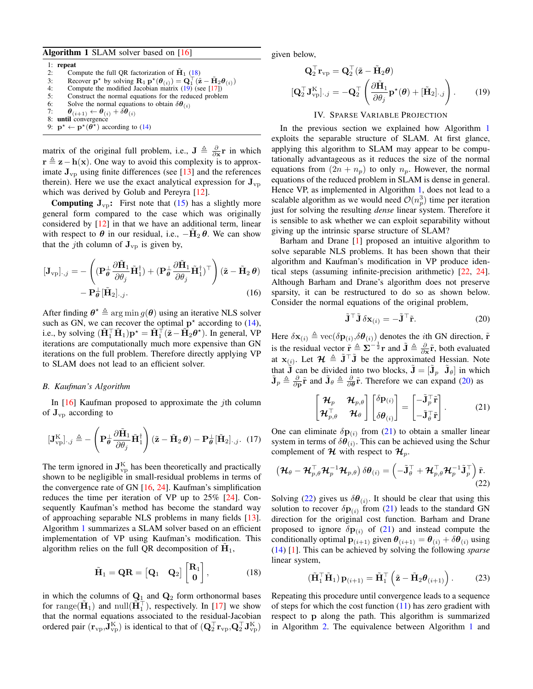# <span id="page-3-2"></span>Algorithm 1 SLAM solver based on [\[16\]](#page-8-12)

1: repeat 2: Compute the full QR factorization of  $\mathbf{H}_1$  [\(18\)](#page-3-0)<br>3: Recover  $\mathbf{p}^*$  by solving  $\mathbf{R}_1 \mathbf{p}^*(\theta_{(i)}) = \mathbf{Q}_1^{\top}(\tilde{\mathbf{z}})$ 3: Recover **p**<sup>\*</sup> by solving  $\mathbf{R}_1 \mathbf{p}^{\star}(\theta_{(i)}) = \mathbf{Q}_1^{\top}(\tilde{\mathbf{z}} - \tilde{\mathbf{H}}_2 \theta_{(i)})$ 4: Compute the modified Jacobian matrix [\(19\)](#page-3-1) (see [\[17\]](#page-8-11)) 5: Construct the normal equations for the reduced problem 6: Solve the normal equations to obtain  $\delta\theta_{(i)}$  $\boldsymbol{\theta}_{(i+1)} \leftarrow \boldsymbol{\theta}_{(i)} + \delta \boldsymbol{\theta}_{(i)}$ 

- 8: until convergence
- 9:  $\mathbf{p}^* \leftarrow \mathbf{p}^*(\tilde{\theta}^*)$  according to [\(14\)](#page-2-5)

matrix of the original full problem, i.e.,  $\mathbf{J} \triangleq \frac{\partial}{\partial x} \mathbf{r}$  in which  $\mathbf{r} \triangleq \mathbf{z} - \mathbf{h}(\mathbf{x})$ . One way to avoid this complexity is to approximate  $J_{\nu D}$  using finite differences (see [\[13\]](#page-8-4) and the references therein). Here we use the exact analytical expression for  $J_{vp}$ which was derived by Golub and Pereyra [\[12\]](#page-8-6).

**Computing**  $J_{\text{VD}}$ **:** First note that [\(15\)](#page-2-6) has a slightly more general form compared to the case which was originally considered by [\[12\]](#page-8-6) in that we have an additional term, linear with respect to  $\theta$  in our residual, i.e.,  $-\tilde{H}_2 \theta$ . We can show that the *j*th column of  $J_{vp}$  is given by,

$$
[\mathbf{J}_{\mathrm{vp}}]_{\cdot,j} = -\left( (\mathbf{P}_{\theta}^{\perp} \frac{\partial \tilde{\mathbf{H}}_1}{\partial \theta_j} \tilde{\mathbf{H}}_1^{\dagger}) + (\mathbf{P}_{\theta}^{\perp} \frac{\partial \tilde{\mathbf{H}}_1}{\partial \theta_j} \tilde{\mathbf{H}}_1^{\dagger})^{\top} \right) (\tilde{\mathbf{z}} - \tilde{\mathbf{H}}_2 \theta) - \mathbf{P}_{\theta}^{\perp} [\tilde{\mathbf{H}}_2]_{\cdot,j}.
$$
\n(16)

After finding  $\boldsymbol{\theta}^* \triangleq \arg \min g(\boldsymbol{\theta})$  using an iterative NLS solver such as GN, we can recover the optimal  $p^*$  according to [\(14\)](#page-2-5), i.e., by solving  $(\tilde{\mathbf{H}}_1^{\top} \tilde{\mathbf{H}}_1) \mathbf{p}^* = \tilde{\mathbf{H}}_1^{\top} (\tilde{\mathbf{z}} - \tilde{\mathbf{H}}_2 \boldsymbol{\theta}^*)$ . In general, VP iterations are computationally much more expensive than GN iterations on the full problem. Therefore directly applying VP to SLAM does not lead to an efficient solver.

# *B. Kaufman's Algorithm*

In  $[16]$  Kaufman proposed to approximate the *j*th column of  $\mathbf{J}_{\text{vp}}$  according to

$$
[\mathbf{J}_{\mathrm{vp}}^{\mathrm{K}}]_{\cdot,j} \triangleq -\left(\mathbf{P}_{\theta}^{\perp} \frac{\partial \tilde{\mathbf{H}}_1}{\partial \theta_j} \tilde{\mathbf{H}}_1^{\dagger}\right) (\tilde{\mathbf{z}} - \tilde{\mathbf{H}}_2 \theta) - \mathbf{P}_{\theta}^{\perp} [\tilde{\mathbf{H}}_2]_{\cdot,j}. (17)
$$

The term ignored in  $J_{vp}^{K}$  has been theoretically and practically shown to be negligible in small-residual problems in terms of the convergence rate of GN [\[16,](#page-8-12) [24\]](#page-8-7). Kaufman's simplification reduces the time per iteration of VP up to 25% [\[24\]](#page-8-7). Consequently Kaufman's method has become the standard way of approaching separable NLS problems in many fields [\[13\]](#page-8-4). Algorithm [1](#page-3-2) summarizes a SLAM solver based on an efficient implementation of VP using Kaufman's modification. This algorithm relies on the full QR decomposition of  $\tilde{H}_1$ ,

$$
\tilde{\mathbf{H}}_1 = \mathbf{Q}\mathbf{R} = \begin{bmatrix} \mathbf{Q}_1 & \mathbf{Q}_2 \end{bmatrix} \begin{bmatrix} \mathbf{R}_1 \\ \mathbf{0} \end{bmatrix}, \tag{18}
$$

in which the columns of  $\mathbf{Q}_1$  and  $\mathbf{Q}_2$  form orthonormal bases for range( $\tilde{\mathbf{H}}_1$ ) and null( $\tilde{\mathbf{H}}_1^{\top}$ ), respectively. In [\[17\]](#page-8-11) we show that the normal equations associated to the residual-Jacobian ordered pair  $(\mathbf{r}_{vp},\mathbf{J}_{vp}^{\text{K}})$  is identical to that of  $(\mathbf{Q}_2^{\top}\mathbf{r}_{vp},\mathbf{Q}_2^{\top}\mathbf{J}_{vp}^{\text{K}})$  given below,

$$
\mathbf{Q}_2^{\top} \mathbf{r}_{vp} = \mathbf{Q}_2^{\top} (\tilde{\mathbf{z}} - \tilde{\mathbf{H}}_2 \boldsymbol{\theta})
$$

$$
[\mathbf{Q}_2^{\top} \mathbf{J}_{vp}^{\mathbf{K}}]_{\cdot,j} = -\mathbf{Q}_2^{\top} \left( \frac{\partial \tilde{\mathbf{H}}_1}{\partial \theta_j} \mathbf{p}^{\star}(\boldsymbol{\theta}) + [\tilde{\mathbf{H}}_2]_{\cdot,j} \right). \tag{19}
$$

# <span id="page-3-1"></span>IV. SPARSE VARIABLE PROJECTION

In the previous section we explained how Algorithm [1](#page-3-2) exploits the separable structure of SLAM. At first glance, applying this algorithm to SLAM may appear to be computationally advantageous as it reduces the size of the normal equations from  $(2n + n_p)$  to only  $n_p$ . However, the normal equations of the reduced problem in SLAM is dense in general. Hence VP, as implemented in Algorithm [1,](#page-3-2) does not lead to a scalable algorithm as we would need  $\mathcal{O}(n_p^3)$  time per iteration just for solving the resulting *dense* linear system. Therefore it is sensible to ask whether we can exploit separability without giving up the intrinsic sparse structure of SLAM?

Barham and Drane [\[1\]](#page-8-13) proposed an intuitive algorithm to solve separable NLS problems. It has been shown that their algorithm and Kaufman's modification in VP produce identical steps (assuming infinite-precision arithmetic) [\[22,](#page-8-14) [24\]](#page-8-7). Although Barham and Drane's algorithm does not preserve sparsity, it can be restructured to do so as shown below. Consider the normal equations of the original problem,

<span id="page-3-4"></span><span id="page-3-3"></span>
$$
\tilde{\mathbf{J}}^{\top} \tilde{\mathbf{J}} \, \delta \mathbf{x}_{(i)} = -\tilde{\mathbf{J}}^{\top} \tilde{\mathbf{r}}.
$$
 (20)

Here  $\delta \mathbf{x}_{(i)} \triangleq \text{vec}(\delta \mathbf{p}_{(i)}, \delta \theta_{(i)})$  denotes the *i*th GN direction,  $\tilde{\mathbf{r}}$ is the residual vector  $\tilde{\mathbf{r}} \triangleq \sum_{n=1}^{\infty} \mathbf{r}^n$  and  $\tilde{\mathbf{J}} \triangleq \frac{\partial}{\partial \mathbf{x}} \tilde{\mathbf{r}}$ , both evaluated at  $\mathbf{x}_{(i)}$ . Let  $\mathcal{H} \triangleq \tilde{\mathbf{J}}^{\top} \tilde{\mathbf{J}}$  be the approximated Hessian. Note that  $\tilde{\mathbf{J}}$  can be divided into two blocks,  $\tilde{\mathbf{J}} = [\tilde{\mathbf{J}}_p \ \tilde{\mathbf{J}}_\theta]$  in which  $\tilde{\mathbf{J}}_p \triangleq \frac{\partial}{\partial \mathbf{p}} \tilde{\mathbf{r}}$  and  $\tilde{\mathbf{J}}_\theta \triangleq \frac{\partial}{\partial \theta} \tilde{\mathbf{r}}$ . Therefore we can expand [\(20\)](#page-3-3) as

<span id="page-3-5"></span>
$$
\begin{bmatrix} \mathcal{H}_p & \mathcal{H}_{p,\theta} \\ \mathcal{H}_{p,\theta}^{\top} & \mathcal{H}_{\theta} \end{bmatrix} \begin{bmatrix} \delta \mathbf{p}_{(i)} \\ \delta \theta_{(i)} \end{bmatrix} = \begin{bmatrix} -\tilde{\mathbf{J}}_p^{\top} \tilde{\mathbf{r}} \\ -\tilde{\mathbf{J}}_\theta^{\top} \tilde{\mathbf{r}} \end{bmatrix} .
$$
 (21)

<span id="page-3-6"></span>One can eliminate  $\delta \mathbf{p}_{(i)}$  from [\(21\)](#page-3-4) to obtain a smaller linear system in terms of  $\delta\theta_{(i)}$ . This can be achieved using the Schur complement of H with respect to  $\mathcal{H}_p$ .

$$
\left(\boldsymbol{\mathcal{H}}_{\theta}-\boldsymbol{\mathcal{H}}_{p,\theta}^{\top}\boldsymbol{\mathcal{H}}_{p}^{-1}\boldsymbol{\mathcal{H}}_{p,\theta}\right)\delta\boldsymbol{\theta}_{(i)}=\left(-\tilde{\mathbf{J}}_{\theta}^{\top}+\boldsymbol{\mathcal{H}}_{p,\theta}^{\top}\boldsymbol{\mathcal{H}}_{p}^{-1}\tilde{\mathbf{J}}_{p}^{\top}\right)\tilde{\mathbf{r}}.\tag{22}
$$

Solving [\(22\)](#page-3-5) gives us  $\delta\theta_{(i)}$ . It should be clear that using this solution to recover  $\delta \mathbf{p}_{(i)}$  from [\(21\)](#page-3-4) leads to the standard GN direction for the original cost function. Barham and Drane proposed to ignore  $\delta \mathbf{p}_{(i)}$  of [\(21\)](#page-3-4) and instead compute the conditionally optimal  $\mathbf{p}_{(i+1)}$  given  $\theta_{(i+1)} = \theta_{(i)} + \delta \theta_{(i)}$  using [\(14\)](#page-2-5) [\[1\]](#page-8-13). This can be achieved by solving the following *sparse* linear system,

<span id="page-3-7"></span>
$$
\left(\tilde{\mathbf{H}}_1^\top \tilde{\mathbf{H}}_1\right) \mathbf{p}_{(i+1)} = \tilde{\mathbf{H}}_1^\top \left(\tilde{\mathbf{z}} - \tilde{\mathbf{H}}_2 \boldsymbol{\theta}_{(i+1)}\right). \tag{23}
$$

<span id="page-3-0"></span>Repeating this procedure until convergence leads to a sequence of steps for which the cost function  $(11)$  has zero gradient with respect to p along the path. This algorithm is summarized in Algorithm [2.](#page-5-0) The equivalence between Algorithm [1](#page-3-2) and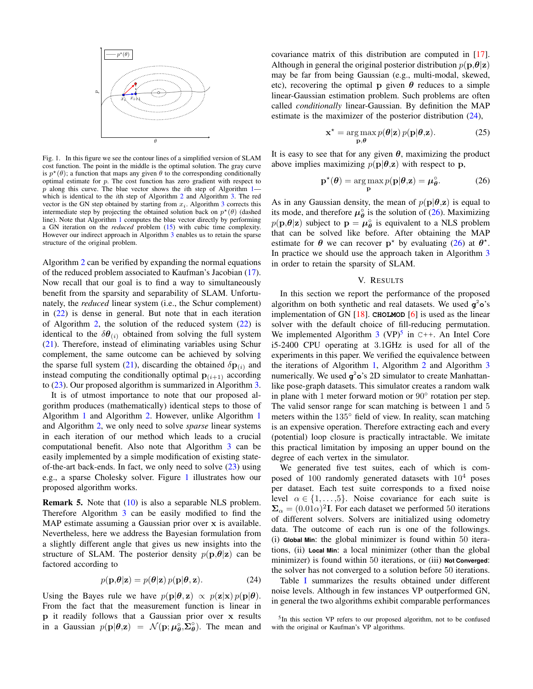<span id="page-4-0"></span>

Fig. 1. In this figure we see the contour lines of a simplified version of SLAM cost function. The point in the middle is the optimal solution. The gray curve is  $p^*(\theta)$ ; a function that maps any given  $\theta$  to the corresponding conditionally optimal estimate for  $p$ . The cost function has zero gradient with respect to p along this curve. The blue vector shows the *i*th step of Algorithm  $1$ which is identical to the *i*th step of Algorithm [2](#page-5-0) and Algorithm [3.](#page-5-0) The red vector is the GN step obtained by starting from  $x_i$ . Algorithm [3](#page-5-0) corrects this intermediate step by projecting the obtained solution back on  $p^*(\theta)$  (dashed line). Note that Algorithm [1](#page-3-2) computes the blue vector directly by performing a GN iteration on the *reduced* problem [\(15\)](#page-2-6) with cubic time complexity. However our indirect approach in Algorithm [3](#page-5-0) enables us to retain the sparse structure of the original problem.

Algorithm [2](#page-5-0) can be verified by expanding the normal equations of the reduced problem associated to Kaufman's Jacobian [\(17\)](#page-3-6). Now recall that our goal is to find a way to simultaneously benefit from the sparsity and separability of SLAM. Unfortunately, the *reduced* linear system (i.e., the Schur complement) in [\(22\)](#page-3-5) is dense in general. But note that in each iteration of Algorithm [2,](#page-5-0) the solution of the reduced system  $(22)$  is identical to the  $\delta\theta_{(i)}$  obtained from solving the full system [\(21\)](#page-3-4). Therefore, instead of eliminating variables using Schur complement, the same outcome can be achieved by solving the sparse full system [\(21\)](#page-3-4), discarding the obtained  $\delta \mathbf{p}_{(i)}$  and instead computing the conditionally optimal  $p_{(i+1)}$  according to [\(23\)](#page-3-7). Our proposed algorithm is summarized in Algorithm [3.](#page-5-0)

It is of utmost importance to note that our proposed algorithm produces (mathematically) identical steps to those of Algorithm [1](#page-3-2) and Algorithm [2.](#page-5-0) However, unlike Algorithm [1](#page-3-2) and Algorithm [2,](#page-5-0) we only need to solve *sparse* linear systems in each iteration of our method which leads to a crucial computational benefit. Also note that Algorithm [3](#page-5-0) can be easily implemented by a simple modification of existing stateof-the-art back-ends. In fact, we only need to solve  $(23)$  using e.g., a sparse Cholesky solver. Figure [1](#page-4-0) illustrates how our proposed algorithm works.

Remark 5. Note that [\(10\)](#page-2-1) is also a separable NLS problem. Therefore Algorithm [3](#page-5-0) can be easily modified to find the MAP estimate assuming a Gaussian prior over x is available. Nevertheless, here we address the Bayesian formulation from a slightly different angle that gives us new insights into the structure of SLAM. The posterior density  $p(\mathbf{p}, \theta | \mathbf{z})$  can be factored according to

<span id="page-4-1"></span>
$$
p(\mathbf{p}, \theta | \mathbf{z}) = p(\theta | \mathbf{z}) p(\mathbf{p} | \theta, \mathbf{z}).
$$
 (24)

Using the Bayes rule we have  $p(\mathbf{p}|\boldsymbol{\theta}, \mathbf{z}) \propto p(\mathbf{z}|\mathbf{x}) p(\mathbf{p}|\boldsymbol{\theta}).$ From the fact that the measurement function is linear in p it readily follows that a Gaussian prior over x results in a Gaussian  $p(\mathbf{p}|\boldsymbol{\theta}, \mathbf{z}) = \mathcal{N}(\mathbf{p}; \boldsymbol{\mu}_{\boldsymbol{\theta}}^{\circ}, \boldsymbol{\Sigma}_{\boldsymbol{\theta}}^{\circ})$ . The mean and

covariance matrix of this distribution are computed in [\[17\]](#page-8-11). Although in general the original posterior distribution  $p(\mathbf{p}, \theta | \mathbf{z})$ may be far from being Gaussian (e.g., multi-modal, skewed, etc), recovering the optimal p given  $\theta$  reduces to a simple linear-Gaussian estimation problem. Such problems are often called *conditionally* linear-Gaussian. By definition the MAP estimate is the maximizer of the posterior distribution [\(24\)](#page-4-1),

<span id="page-4-2"></span>
$$
\mathbf{x}^* = \arg \max_{\mathbf{p}, \boldsymbol{\theta}} p(\boldsymbol{\theta}|\mathbf{z}) p(\mathbf{p}|\boldsymbol{\theta}, \mathbf{z}).
$$
 (25)

It is easy to see that for any given  $\theta$ , maximizing the product above implies maximizing  $p(\mathbf{p}|\boldsymbol{\theta},\mathbf{z})$  with respect to p,

$$
\mathbf{p}^{\star}(\boldsymbol{\theta}) = \underset{\mathbf{p}}{\arg \max} p(\mathbf{p}|\boldsymbol{\theta}, \mathbf{z}) = \boldsymbol{\mu}_{\boldsymbol{\theta}}^{\circ}.
$$
 (26)

As in any Gaussian density, the mean of  $p(\mathbf{p}|\boldsymbol{\theta},\mathbf{z})$  is equal to its mode, and therefore  $\mu_{\theta}^{\circ}$  is the solution of [\(26\)](#page-4-2). Maximizing  $p(\mathbf{p}, \theta | \mathbf{z})$  subject to  $\mathbf{p} = \boldsymbol{\mu}_{\theta}^{\circ}$  is equivalent to a NLS problem that can be solved like before. After obtaining the MAP estimate for  $\theta$  we can recover  $p^*$  by evaluating [\(26\)](#page-4-2) at  $\theta^*$ . In practice we should use the approach taken in Algorithm [3](#page-5-0) in order to retain the sparsity of SLAM.

#### V. RESULTS

In this section we report the performance of the proposed algorithm on both synthetic and real datasets. We used **g** <sup>2</sup>**o**'s implementation of GN [\[18\]](#page-8-15). **CHOLMOD** [\[6\]](#page-8-16) is used as the linear solver with the default choice of fill-reducing permutation. We implemented Algorithm  $3$  (VP)<sup>[5](#page-4-3)</sup> in C++. An Intel Core i5-2400 CPU operating at 3.1GHz is used for all of the experiments in this paper. We verified the equivalence between the iterations of Algorithm [1,](#page-3-2) Algorithm [2](#page-5-0) and Algorithm [3](#page-5-0) numerically. We used **g** 2**o**'s 2D simulator to create Manhattanlike pose-graph datasets. This simulator creates a random walk in plane with 1 meter forward motion or 90° rotation per step. The valid sensor range for scan matching is between 1 and 5 meters within the 135◦ field of view. In reality, scan matching is an expensive operation. Therefore extracting each and every (potential) loop closure is practically intractable. We imitate this practical limitation by imposing an upper bound on the degree of each vertex in the simulator.

We generated five test suites, each of which is composed of  $100$  randomly generated datasets with  $10^4$  poses per dataset. Each test suite corresponds to a fixed noise level  $\alpha \in \{1, \ldots, 5\}$ . Noise covariance for each suite is  $\Sigma_{\alpha} = (0.01\alpha)^2$ I. For each dataset we performed 50 iterations of different solvers. Solvers are initialized using odometry data. The outcome of each run is one of the followings. (i) **Global Min**: the global minimizer is found within 50 iterations, (ii) **Local Min**: a local minimizer (other than the global minimizer) is found within 50 iterations, or (iii) **Not Converged**: the solver has not converged to a solution before 50 iterations.

Table [I](#page-6-0) summarizes the results obtained under different noise levels. Although in few instances VP outperformed GN, in general the two algorithms exhibit comparable performances

<span id="page-4-3"></span><sup>&</sup>lt;sup>5</sup>In this section VP refers to our proposed algorithm, not to be confused with the original or Kaufman's VP algorithms.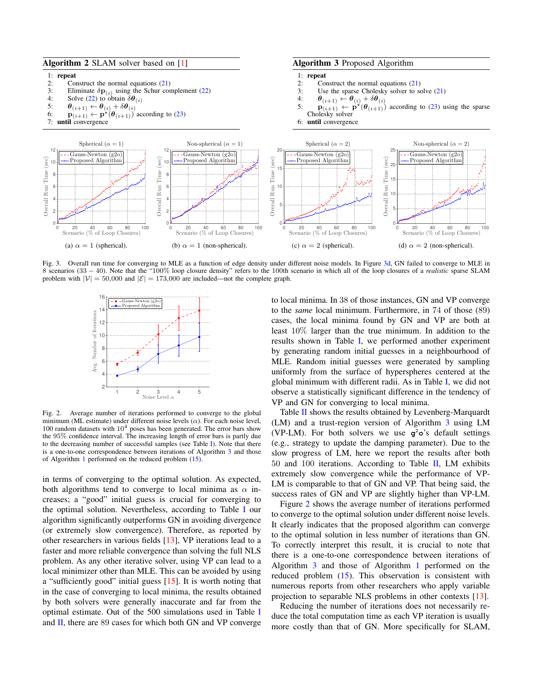<span id="page-5-1"></span><span id="page-5-0"></span>

<span id="page-5-2"></span>Fig. 3. Overall run time for converging to MLE as a function of edge density under different noise models. In Figure [3d,](#page-5-1) GN failed to converge to MLE in 8 scenarios (33 − 40). Note that the "100% loop closure density" refers to the 100th scenario in which all of the loop closures of a *realistic* sparse SLAM problem with  $|V| = 50,000$  and  $|\mathcal{E}| = 173,000$  are included—not the complete graph.



Fig. 2. Average number of iterations performed to converge to the global minimum (ML estimate) under different noise levels  $(\alpha)$ . For each noise level, 100 random datasets with  $10<sup>4</sup>$  poses has been generated. The error bars show the 95% confidence interval. The increasing length of error bars is partly due to the decreasing number of successful samples (see Table  $\Gamma$ ). Note that there is a one-to-one correspondence between iterations of Algorithm [3](#page-5-0) and those of Algorithm [1](#page-3-2) performed on the reduced problem [\(15\)](#page-2-6).

in terms of converging to the optimal solution. As expected, both algorithms tend to converge to local minima as  $\alpha$  increases; a "good" initial guess is crucial for converging to the optimal solution. Nevertheless, according to Table [I](#page-6-0) our algorithm significantly outperforms GN in avoiding divergence (or extremely slow convergence). Therefore, as reported by other researchers in various fields [\[13\]](#page-8-4), VP iterations lead to a faster and more reliable convergence than solving the full NLS problem. As any other iterative solver, using VP can lead to a local minimizer other than MLE. This can be avoided by using a "sufficiently good" initial guess [\[15\]](#page-8-17). It is worth noting that in the case of converging to local minima, the results obtained by both solvers were generally inaccurate and far from the optimal estimate. Out of the 500 simulations used in Table [I](#page-6-0) and  $II$ , there are 89 cases for which both GN and VP converge

to local minima. In 38 of those instances, GN and VP converge to the *same* local minimum. Furthermore, in 74 of those (89) cases, the local minima found by GN and VP are both at least 10% larger than the true minimum. In addition to the results shown in Table [I,](#page-6-0) we performed another experiment by generating random initial guesses in a neighbourhood of MLE. Random initial guesses were generated by sampling uniformly from the surface of hyperspheres centered at the global minimum with different radii. As in Table [I,](#page-6-0) we did not observe a statistically significant difference in the tendency of VP and GN for converging to local minima.

Table [II](#page-6-1) shows the results obtained by Levenberg-Marquardt (LM) and a trust-region version of Algorithm [3](#page-5-0) using LM (VP-LM). For both solvers we use **g** <sup>2</sup>**o**'s default settings (e.g., strategy to update the damping parameter). Due to the slow progress of LM, here we report the results after both 50 and 100 iterations. According to Table [II,](#page-6-1) LM exhibits extremely slow convergence while the performance of VP-LM is comparable to that of GN and VP. That being said, the success rates of GN and VP are slightly higher than VP-LM.

Figure [2](#page-5-2) shows the average number of iterations performed to converge to the optimal solution under different noise levels. It clearly indicates that the proposed algorithm can converge to the optimal solution in less number of iterations than GN. To correctly interpret this result, it is crucial to note that there is a one-to-one correspondence between iterations of Algorithm [3](#page-5-0) and those of Algorithm [1](#page-3-2) performed on the reduced problem [\(15\)](#page-2-6). This observation is consistent with numerous reports from other researchers who apply variable projection to separable NLS problems in other contexts [\[13\]](#page-8-4).

Reducing the number of iterations does not necessarily reduce the total computation time as each VP iteration is usually more costly than that of GN. More specifically for SLAM,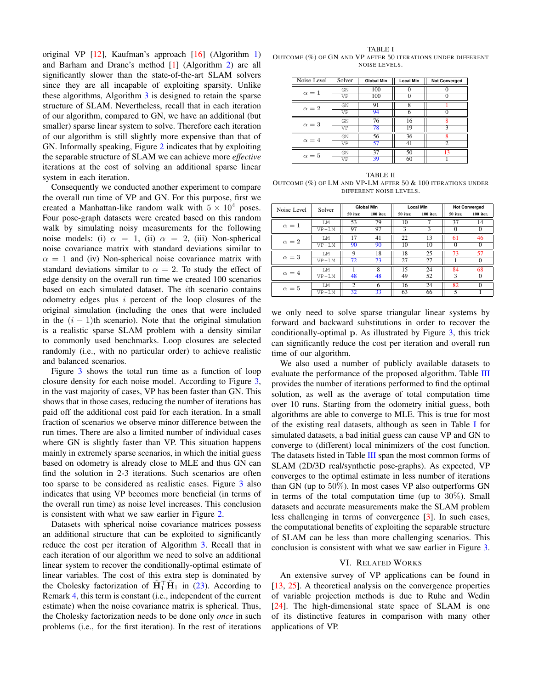original VP  $[12]$ , Kaufman's approach  $[16]$  (Algorithm [1\)](#page-3-2) and Barham and Drane's method [\[1\]](#page-8-13) (Algorithm [2\)](#page-5-0) are all significantly slower than the state-of-the-art SLAM solvers since they are all incapable of exploiting sparsity. Unlike these algorithms, Algorithm [3](#page-5-0) is designed to retain the sparse structure of SLAM. Nevertheless, recall that in each iteration of our algorithm, compared to GN, we have an additional (but smaller) sparse linear system to solve. Therefore each iteration of our algorithm is still slightly more expensive than that of GN. Informally speaking, Figure [2](#page-5-2) indicates that by exploiting the separable structure of SLAM we can achieve more *effective* iterations at the cost of solving an additional sparse linear system in each iteration.

Consequently we conducted another experiment to compare the overall run time of VP and GN. For this purpose, first we created a Manhattan-like random walk with  $5 \times 10^4$  poses. Four pose-graph datasets were created based on this random walk by simulating noisy measurements for the following noise models: (i)  $\alpha = 1$ , (ii)  $\alpha = 2$ , (iii) Non-spherical noise covariance matrix with standard deviations similar to  $\alpha = 1$  and (iv) Non-spherical noise covariance matrix with standard deviations similar to  $\alpha = 2$ . To study the effect of edge density on the overall run time we created 100 scenarios based on each simulated dataset. The ith scenario contains odometry edges plus  $i$  percent of the loop closures of the original simulation (including the ones that were included in the  $(i - 1)$ th scenario). Note that the original simulation is a realistic sparse SLAM problem with a density similar to commonly used benchmarks. Loop closures are selected randomly (i.e., with no particular order) to achieve realistic and balanced scenarios.

Figure [3](#page-5-1) shows the total run time as a function of loop closure density for each noise model. According to Figure [3,](#page-5-1) in the vast majority of cases, VP has been faster than GN. This shows that in those cases, reducing the number of iterations has paid off the additional cost paid for each iteration. In a small fraction of scenarios we observe minor difference between the run times. There are also a limited number of individual cases where GN is slightly faster than VP. This situation happens mainly in extremely sparse scenarios, in which the initial guess based on odometry is already close to MLE and thus GN can find the solution in 2-3 iterations. Such scenarios are often too sparse to be considered as realistic cases. Figure [3](#page-5-1) also indicates that using VP becomes more beneficial (in terms of the overall run time) as noise level increases. This conclusion is consistent with what we saw earlier in Figure [2.](#page-5-2)

Datasets with spherical noise covariance matrices possess an additional structure that can be exploited to significantly reduce the cost per iteration of Algorithm [3.](#page-5-0) Recall that in each iteration of our algorithm we need to solve an additional linear system to recover the conditionally-optimal estimate of linear variables. The cost of this extra step is dominated by the Cholesky factorization of  $\tilde{H}_1^{\top} \tilde{H}_1$  in [\(23\)](#page-3-7). According to Remark [4,](#page-2-7) this term is constant (i.e., independent of the current estimate) when the noise covariance matrix is spherical. Thus, the Cholesky factorization needs to be done only *once* in such problems (i.e., for the first iteration). In the rest of iterations

<span id="page-6-0"></span>TABLE I OUTCOME (%) OF GN AND VP AFTER 50 ITERATIONS UNDER DIFFERENT NOISE LEVELS.

| Noise Level  | Solver | <b>Global Min</b> | <b>Local Min</b> | <b>Not Converged</b> |
|--------------|--------|-------------------|------------------|----------------------|
| $\alpha=1$   | GN     | 100               |                  |                      |
|              | VP     | 100               |                  |                      |
| $\alpha=2$   | GN     | 91                | 8                |                      |
|              | VP     | 94                | 6                |                      |
| $\alpha=3$   | GN     | 76                | 16               | Ջ                    |
|              | VP     | 78                | 19               |                      |
| $\alpha = 4$ | GN     | 56                | 36               | 8                    |
|              | VP     | 57                | 41               |                      |
| $\alpha = 5$ | GN     | 37                | 50               | 13                   |
|              | VP     | 39                | 60               |                      |

<span id="page-6-1"></span>TABLE II OUTCOME (%) OF LM AND VP-LM AFTER 50 & 100 ITERATIONS UNDER DIFFERENT NOISE LEVELS.

| Noise Level  | Solver   | <b>Global Min</b> |                         | <b>Local Min</b> |           | <b>Not Converged</b> |           |
|--------------|----------|-------------------|-------------------------|------------------|-----------|----------------------|-----------|
|              |          | 50 iter.          | $100$ iter.             | 50 iter.         | 100 iter. | 50 iter.             | 100 iter. |
| $\alpha=1$   | LМ       | 53                | 79                      | 10               | 7         | 37                   | 14        |
|              | $VP-I.M$ | 97                | 97                      | $\mathbf{3}$     | 3         | 0                    | $\Omega$  |
| $\alpha = 2$ | LM       | 17                | 41                      | 22               | 13        | 61                   | 46        |
|              | $VP-LM$  | 90                | 90                      | 10               | 10        | $\Omega$             | $\Omega$  |
| $\alpha=3$   | T.M      | 9                 | 18                      | 18               | 25        | 73                   | 57        |
|              | $VP-LM$  | 72                | 73                      | 27               | 27        |                      |           |
| $\alpha = 4$ | LМ       |                   | $\overline{\mathbf{8}}$ | 15               | 24        | 84                   | 68        |
|              | $VP-LM$  | 48                | 48                      | 49               | 52        | 3                    | $\Omega$  |
| $\alpha = 5$ | LМ       | $\overline{c}$    | 6                       | 16               | 24        | 82                   | $\Omega$  |
|              | $VP-LM$  | 32                | 33                      | 63               | 66        |                      |           |

we only need to solve sparse triangular linear systems by forward and backward substitutions in order to recover the conditionally-optimal p. As illustrated by Figure [3,](#page-5-1) this trick can significantly reduce the cost per iteration and overall run time of our algorithm.

We also used a number of publicly available datasets to evaluate the performance of the proposed algorithm. Table [III](#page-7-0) provides the number of iterations performed to find the optimal solution, as well as the average of total computation time over 10 runs. Starting from the odometry initial guess, both algorithms are able to converge to MLE. This is true for most of the existing real datasets, although as seen in Table [I](#page-6-0) for simulated datasets, a bad initial guess can cause VP and GN to converge to (different) local minimizers of the cost function. The datasets listed in Table [III](#page-7-0) span the most common forms of SLAM (2D/3D real/synthetic pose-graphs). As expected, VP converges to the optimal estimate in less number of iterations than GN (up to  $50\%$ ). In most cases VP also outperforms GN in terms of the total computation time (up to  $30\%$ ). Small datasets and accurate measurements make the SLAM problem less challenging in terms of convergence [\[3\]](#page-8-18). In such cases, the computational benefits of exploiting the separable structure of SLAM can be less than more challenging scenarios. This conclusion is consistent with what we saw earlier in Figure [3.](#page-5-1)

## VI. RELATED WORKS

An extensive survey of VP applications can be found in [\[13,](#page-8-4) [25\]](#page-8-19). A theoretical analysis on the convergence properties of variable projection methods is due to Ruhe and Wedin [\[24\]](#page-8-7). The high-dimensional state space of SLAM is one of its distinctive features in comparison with many other applications of VP.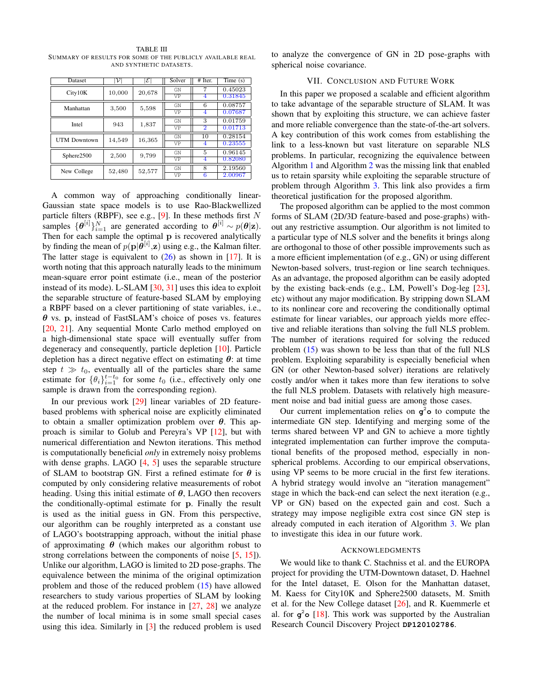| Dataset             | νī     | $ \mathcal{E} $ | Solver | $#$ Iter.      | Time $(s)$ |
|---------------------|--------|-----------------|--------|----------------|------------|
| City10K             | 10,000 | 20,678          | GN     | 7              | 0.45023    |
|                     |        |                 | VP     | 4              | 0.31845    |
| Manhattan           | 3,500  | 5,598           | GN     | 6              | 0.08757    |
|                     |        |                 | VP     | 4              | 0.07687    |
| Intel               | 943    | 1,837           | GN     | 3              | 0.01759    |
|                     |        |                 | VP     | $\overline{2}$ | 0.01713    |
| <b>UTM Downtown</b> | 14,549 | 16,365          | GN     | 10             | 0.28154    |
|                     |        |                 | VP     | 4              | 0.23555    |
| Sphere2500          | 2,500  | 9,799           | GN     | 5              | 0.96145    |
|                     |        |                 | VP     | 4              | 0.82080    |
| New College         | 52,480 | 52,577          | GN     | 8              | 2.19560    |
|                     |        |                 | VP     | 6              | 2.00967    |

<span id="page-7-0"></span>TABLE III SUMMARY OF RESULTS FOR SOME OF THE PUBLICLY AVAILABLE REAL AND SYNTHETIC DATASETS.

A common way of approaching conditionally linear-Gaussian state space models is to use Rao-Blackwellized particle filters (RBPF), see e.g.,  $[9]$ . In these methods first N samples  $\{\boldsymbol{\theta}^{[i]}\}_{i=1}^N$  are generated according to  $\boldsymbol{\theta}^{[i]} \sim p(\boldsymbol{\theta}|\mathbf{z})$ . Then for each sample the optimal  $\bf{p}$  is recovered analytically by finding the mean of  $p(\mathbf{p}|\bar{\theta}^{[i]}, \mathbf{z})$  using e.g., the Kalman filter. The latter stage is equivalent to  $(26)$  as shown in [\[17\]](#page-8-11). It is worth noting that this approach naturally leads to the minimum mean-square error point estimate (i.e., mean of the posterior instead of its mode). L-SLAM [\[30,](#page-9-0) [31\]](#page-9-1) uses this idea to exploit the separable structure of feature-based SLAM by employing a RBPF based on a clever partitioning of state variables, i.e.,  $\theta$  vs. p, instead of FastSLAM's choice of poses vs. features [\[20,](#page-8-20) [21\]](#page-8-21). Any sequential Monte Carlo method employed on a high-dimensional state space will eventually suffer from degeneracy and consequently, particle depletion [\[10\]](#page-8-22). Particle depletion has a direct negative effect on estimating  $\theta$ : at time step  $t \gg t_0$ , eventually all of the particles share the same estimate for  $\{\theta_i\}_{i=1}^{t-t_0}$  for some  $t_0$  (i.e., effectively only one sample is drawn from the corresponding region).

In our previous work [\[29\]](#page-9-2) linear variables of 2D featurebased problems with spherical noise are explicitly eliminated to obtain a smaller optimization problem over  $\theta$ . This approach is similar to Golub and Pereyra's VP [\[12\]](#page-8-6), but with numerical differentiation and Newton iterations. This method is computationally beneficial *only* in extremely noisy problems with dense graphs. LAGO [\[4,](#page-8-8) [5\]](#page-8-23) uses the separable structure of SLAM to bootstrap GN. First a refined estimate for  $\theta$  is computed by only considering relative measurements of robot heading. Using this initial estimate of  $\theta$ , LAGO then recovers the conditionally-optimal estimate for p. Finally the result is used as the initial guess in GN. From this perspective, our algorithm can be roughly interpreted as a constant use of LAGO's bootstrapping approach, without the initial phase of approximating  $\theta$  (which makes our algorithm robust to strong correlations between the components of noise [\[5,](#page-8-23) [15\]](#page-8-17)). Unlike our algorithm, LAGO is limited to 2D pose-graphs. The equivalence between the minima of the original optimization problem and those of the reduced problem [\(15\)](#page-2-6) have allowed researchers to study various properties of SLAM by looking at the reduced problem. For instance in [\[27,](#page-8-24) [28\]](#page-8-25) we analyze the number of local minima is in some small special cases using this idea. Similarly in [\[3\]](#page-8-18) the reduced problem is used to analyze the convergence of GN in 2D pose-graphs with spherical noise covariance.

# VII. CONCLUSION AND FUTURE WORK

In this paper we proposed a scalable and efficient algorithm to take advantage of the separable structure of SLAM. It was shown that by exploiting this structure, we can achieve faster and more reliable convergence than the state-of-the-art solvers. A key contribution of this work comes from establishing the link to a less-known but vast literature on separable NLS problems. In particular, recognizing the equivalence between Algorithm [1](#page-3-2) and Algorithm [2](#page-5-0) was the missing link that enabled us to retain sparsity while exploiting the separable structure of problem through Algorithm [3.](#page-5-0) This link also provides a firm theoretical justification for the proposed algorithm.

The proposed algorithm can be applied to the most common forms of SLAM (2D/3D feature-based and pose-graphs) without any restrictive assumption. Our algorithm is not limited to a particular type of NLS solver and the benefits it brings along are orthogonal to those of other possible improvements such as a more efficient implementation (of e.g., GN) or using different Newton-based solvers, trust-region or line search techniques. As an advantage, the proposed algorithm can be easily adopted by the existing back-ends (e.g., LM, Powell's Dog-leg [\[23\]](#page-8-26), etc) without any major modification. By stripping down SLAM to its nonlinear core and recovering the conditionally optimal estimate for linear variables, our approach yields more effective and reliable iterations than solving the full NLS problem. The number of iterations required for solving the reduced problem [\(15\)](#page-2-6) was shown to be less than that of the full NLS problem. Exploiting separability is especially beneficial when GN (or other Newton-based solver) iterations are relatively costly and/or when it takes more than few iterations to solve the full NLS problem. Datasets with relatively high measurement noise and bad initial guess are among those cases.

Our current implementation relies on  $g^2$  to compute the intermediate GN step. Identifying and merging some of the terms shared between VP and GN to achieve a more tightly integrated implementation can further improve the computational benefits of the proposed method, especially in nonspherical problems. According to our empirical observations, using VP seems to be more crucial in the first few iterations. A hybrid strategy would involve an "iteration management" stage in which the back-end can select the next iteration (e.g., VP or GN) based on the expected gain and cost. Such a strategy may impose negligible extra cost since GN step is already computed in each iteration of Algorithm [3.](#page-5-0) We plan to investigate this idea in our future work.

## ACKNOWLEDGMENTS

We would like to thank C. Stachniss et al. and the EUROPA project for providing the UTM-Downtown dataset, D. Haehnel for the Intel dataset, E. Olson for the Manhattan dataset, M. Kaess for City10K and Sphere2500 datasets, M. Smith et al. for the New College dataset [\[26\]](#page-8-27), and R. Kuemmerle et al. for **g** <sup>2</sup>**o** [\[18\]](#page-8-15). This work was supported by the Australian Research Council Discovery Project **DP120102786**.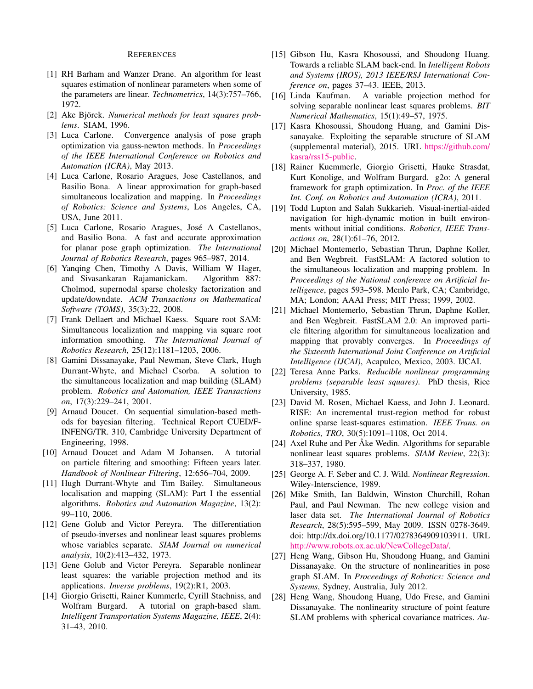## REFERENCES

- <span id="page-8-13"></span>[1] RH Barham and Wanzer Drane. An algorithm for least squares estimation of nonlinear parameters when some of the parameters are linear. *Technometrics*, 14(3):757–766, 1972.
- <span id="page-8-3"></span>[2] Ake Björck. Numerical methods for least squares prob*lems*. SIAM, 1996.
- <span id="page-8-18"></span>[3] Luca Carlone. Convergence analysis of pose graph optimization via gauss-newton methods. In *Proceedings of the IEEE International Conference on Robotics and Automation (ICRA)*, May 2013.
- <span id="page-8-8"></span>[4] Luca Carlone, Rosario Aragues, Jose Castellanos, and Basilio Bona. A linear approximation for graph-based simultaneous localization and mapping. In *Proceedings of Robotics: Science and Systems*, Los Angeles, CA, USA, June 2011.
- <span id="page-8-23"></span>[5] Luca Carlone, Rosario Aragues, Jose A Castellanos, ´ and Basilio Bona. A fast and accurate approximation for planar pose graph optimization. *The International Journal of Robotics Research*, pages 965–987, 2014.
- <span id="page-8-16"></span>[6] Yanqing Chen, Timothy A Davis, William W Hager, and Sivasankaran Rajamanickam. Algorithm 887: Cholmod, supernodal sparse cholesky factorization and update/downdate. *ACM Transactions on Mathematical Software (TOMS)*, 35(3):22, 2008.
- <span id="page-8-2"></span>[7] Frank Dellaert and Michael Kaess. Square root SAM: Simultaneous localization and mapping via square root information smoothing. *The International Journal of Robotics Research*, 25(12):1181–1203, 2006.
- <span id="page-8-1"></span>[8] Gamini Dissanayake, Paul Newman, Steve Clark, Hugh Durrant-Whyte, and Michael Csorba. A solution to the simultaneous localization and map building (SLAM) problem. *Robotics and Automation, IEEE Transactions on*, 17(3):229–241, 2001.
- <span id="page-8-5"></span>[9] Arnaud Doucet. On sequential simulation-based methods for bayesian filtering. Technical Report CUED/F-INFENG/TR. 310, Cambridge University Department of Engineering, 1998.
- <span id="page-8-22"></span>[10] Arnaud Doucet and Adam M Johansen. A tutorial on particle filtering and smoothing: Fifteen years later. *Handbook of Nonlinear Filtering*, 12:656–704, 2009.
- <span id="page-8-0"></span>[11] Hugh Durrant-Whyte and Tim Bailey. Simultaneous localisation and mapping (SLAM): Part I the essential algorithms. *Robotics and Automation Magazine*, 13(2): 99–110, 2006.
- <span id="page-8-6"></span>[12] Gene Golub and Victor Pereyra. The differentiation of pseudo-inverses and nonlinear least squares problems whose variables separate. *SIAM Journal on numerical analysis*, 10(2):413–432, 1973.
- <span id="page-8-4"></span>[13] Gene Golub and Victor Pereyra. Separable nonlinear least squares: the variable projection method and its applications. *Inverse problems*, 19(2):R1, 2003.
- <span id="page-8-9"></span>[14] Giorgio Grisetti, Rainer Kummerle, Cyrill Stachniss, and Wolfram Burgard. A tutorial on graph-based slam. *Intelligent Transportation Systems Magazine, IEEE*, 2(4): 31–43, 2010.
- <span id="page-8-17"></span>[15] Gibson Hu, Kasra Khosoussi, and Shoudong Huang. Towards a reliable SLAM back-end. In *Intelligent Robots and Systems (IROS), 2013 IEEE/RSJ International Conference on*, pages 37–43. IEEE, 2013.
- <span id="page-8-12"></span>[16] Linda Kaufman. A variable projection method for solving separable nonlinear least squares problems. *BIT Numerical Mathematics*, 15(1):49–57, 1975.
- <span id="page-8-11"></span>[17] Kasra Khosoussi, Shoudong Huang, and Gamini Dissanayake. Exploiting the separable structure of SLAM (supplemental material), 2015. URL [https://github.com/](https://github.com/kasra/rss15-public) [kasra/rss15-public.](https://github.com/kasra/rss15-public)
- <span id="page-8-15"></span>[18] Rainer Kuemmerle, Giorgio Grisetti, Hauke Strasdat, Kurt Konolige, and Wolfram Burgard. g2o: A general framework for graph optimization. In *Proc. of the IEEE Int. Conf. on Robotics and Automation (ICRA)*, 2011.
- <span id="page-8-10"></span>[19] Todd Lupton and Salah Sukkarieh. Visual-inertial-aided navigation for high-dynamic motion in built environments without initial conditions. *Robotics, IEEE Transactions on*, 28(1):61–76, 2012.
- <span id="page-8-20"></span>[20] Michael Montemerlo, Sebastian Thrun, Daphne Koller, and Ben Wegbreit. FastSLAM: A factored solution to the simultaneous localization and mapping problem. In *Proceedings of the National conference on Artificial Intelligence*, pages 593–598. Menlo Park, CA; Cambridge, MA; London; AAAI Press; MIT Press; 1999, 2002.
- <span id="page-8-21"></span>[21] Michael Montemerlo, Sebastian Thrun, Daphne Koller, and Ben Wegbreit. FastSLAM 2.0: An improved particle filtering algorithm for simultaneous localization and mapping that provably converges. In *Proceedings of the Sixteenth International Joint Conference on Artificial Intelligence (IJCAI)*, Acapulco, Mexico, 2003. IJCAI.
- <span id="page-8-14"></span>[22] Teresa Anne Parks. *Reducible nonlinear programming problems (separable least squares)*. PhD thesis, Rice University, 1985.
- <span id="page-8-26"></span>[23] David M. Rosen, Michael Kaess, and John J. Leonard. RISE: An incremental trust-region method for robust online sparse least-squares estimation. *IEEE Trans. on Robotics, TRO*, 30(5):1091–1108, Oct 2014.
- <span id="page-8-7"></span>[24] Axel Ruhe and Per Åke Wedin. Algorithms for separable nonlinear least squares problems. *SIAM Review*, 22(3): 318–337, 1980.
- <span id="page-8-19"></span>[25] George A. F. Seber and C. J. Wild. *Nonlinear Regression*. Wiley-Interscience, 1989.
- <span id="page-8-27"></span>[26] Mike Smith, Ian Baldwin, Winston Churchill, Rohan Paul, and Paul Newman. The new college vision and laser data set. *The International Journal of Robotics Research*, 28(5):595–599, May 2009. ISSN 0278-3649. doi: http://dx.doi.org/10.1177/0278364909103911. URL [http://www.robots.ox.ac.uk/NewCollegeData/.](http://www.robots.ox.ac.uk/NewCollegeData/)
- <span id="page-8-24"></span>[27] Heng Wang, Gibson Hu, Shoudong Huang, and Gamini Dissanayake. On the structure of nonlinearities in pose graph SLAM. In *Proceedings of Robotics: Science and Systems*, Sydney, Australia, July 2012.
- <span id="page-8-25"></span>[28] Heng Wang, Shoudong Huang, Udo Frese, and Gamini Dissanayake. The nonlinearity structure of point feature SLAM problems with spherical covariance matrices. *Au-*